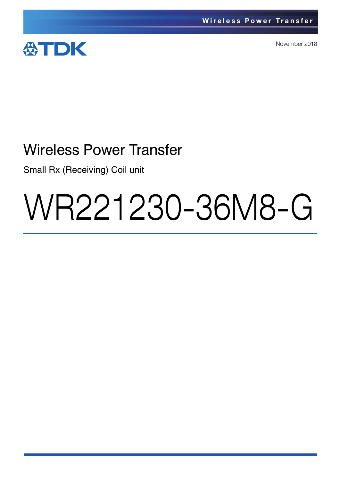

November 2018

## Wireless Power Transfer

Small Rx (Receiving) Coil unit

# WR221230-36M8-G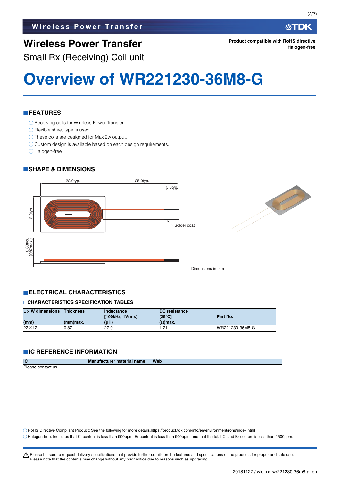## **Wireless Power Transfer**

**Product compatible with RoHS directive Halogen-free**

Small Rx (Receiving) Coil unit

# **Overview of WR221230-36M8-G**

#### **FEATURES**

- ◯ Receiving coils for Wireless Power Transfer.
- ◯ Flexible sheet type is used.
- O These coils are designed for Max 2w output.
- O Custom design is available based on each design requirements.
- O Halogen-free.

#### **SHAPE & DIMENSIONS**



#### **ELECTRICAL CHARACTERISTICS**

#### **CHARACTERISTICS SPECIFICATION TABLES**

| L x W dimensions | <b>Thickness</b> | Inductance      | <b>DC</b> resistance |                 |  |
|------------------|------------------|-----------------|----------------------|-----------------|--|
|                  |                  | [100kHz, 1Vrms] | [25°C]               | Part No.        |  |
| (mm)             | $(mm)$ max.      | $(\mu H)$       | $(\Omega)$ max.      |                 |  |
| 22×12            | 0.87             | 27.9            | 21.،                 | WR221230-36M8-G |  |

#### **IC REFERENCE INFORMATION**

| IC                 | <b>Manufacturer material name</b> | <b>Web</b> |
|--------------------|-----------------------------------|------------|
| Please contact us. |                                   |            |

RoHS Directive Compliant Product: See the following for more details.https://product.tdk.com/info/en/environment/rohs/index.html Halogen-free: Indicates that Cl content is less than 900ppm, Br content is less than 900ppm, and that the total Cl and Br content is less than 1500ppm.

公TDK